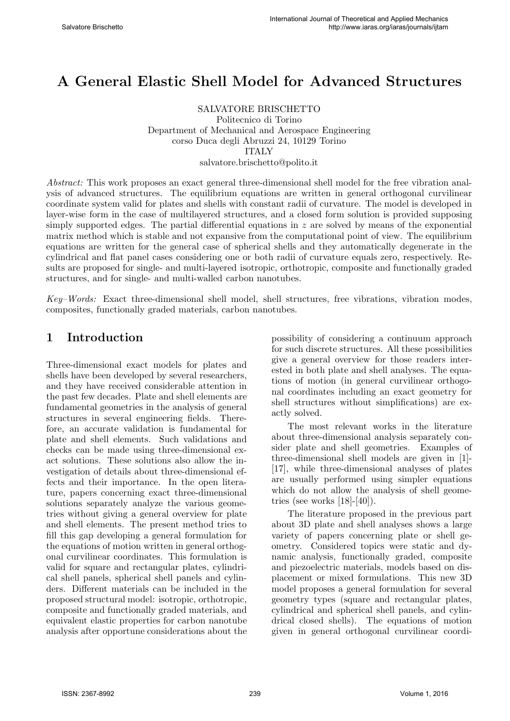# A General Elastic Shell Model for Advanced Structures

SALVATORE BRISCHETTO Politecnico di Torino Department of Mechanical and Aerospace Engineering corso Duca degli Abruzzi 24, 10129 Torino ITALY salvatore.brischetto@polito.it

Abstract: This work proposes an exact general three-dimensional shell model for the free vibration analysis of advanced structures. The equilibrium equations are written in general orthogonal curvilinear coordinate system valid for plates and shells with constant radii of curvature. The model is developed in layer-wise form in the case of multilayered structures, and a closed form solution is provided supposing simply supported edges. The partial differential equations in  $z$  are solved by means of the exponential matrix method which is stable and not expansive from the computational point of view. The equilibrium equations are written for the general case of spherical shells and they automatically degenerate in the cylindrical and flat panel cases considering one or both radii of curvature equals zero, respectively. Results are proposed for single- and multi-layered isotropic, orthotropic, composite and functionally graded structures, and for single- and multi-walled carbon nanotubes.

Key–Words: Exact three-dimensional shell model, shell structures, free vibrations, vibration modes, composites, functionally graded materials, carbon nanotubes.

### 1 Introduction

Three-dimensional exact models for plates and shells have been developed by several researchers, and they have received considerable attention in the past few decades. Plate and shell elements are fundamental geometries in the analysis of general structures in several engineering fields. Therefore, an accurate validation is fundamental for plate and shell elements. Such validations and checks can be made using three-dimensional exact solutions. These solutions also allow the investigation of details about three-dimensional effects and their importance. In the open literature, papers concerning exact three-dimensional solutions separately analyze the various geometries without giving a general overview for plate and shell elements. The present method tries to fill this gap developing a general formulation for the equations of motion written in general orthogonal curvilinear coordinates. This formulation is valid for square and rectangular plates, cylindrical shell panels, spherical shell panels and cylinders. Different materials can be included in the proposed structural model: isotropic, orthotropic, composite and functionally graded materials, and equivalent elastic properties for carbon nanotube analysis after opportune considerations about the

possibility of considering a continuum approach for such discrete structures. All these possibilities give a general overview for those readers interested in both plate and shell analyses. The equations of motion (in general curvilinear orthogonal coordinates including an exact geometry for shell structures without simplifications) are exactly solved.

The most relevant works in the literature about three-dimensional analysis separately consider plate and shell geometries. Examples of three-dimensional shell models are given in [1]- [17], while three-dimensional analyses of plates are usually performed using simpler equations which do not allow the analysis of shell geometries (see works  $[18]-[40]$ ).

The literature proposed in the previous part about 3D plate and shell analyses shows a large variety of papers concerning plate or shell geometry. Considered topics were static and dynamic analysis, functionally graded, composite and piezoelectric materials, models based on displacement or mixed formulations. This new 3D model proposes a general formulation for several geometry types (square and rectangular plates, cylindrical and spherical shell panels, and cylindrical closed shells). The equations of motion given in general orthogonal curvilinear coordi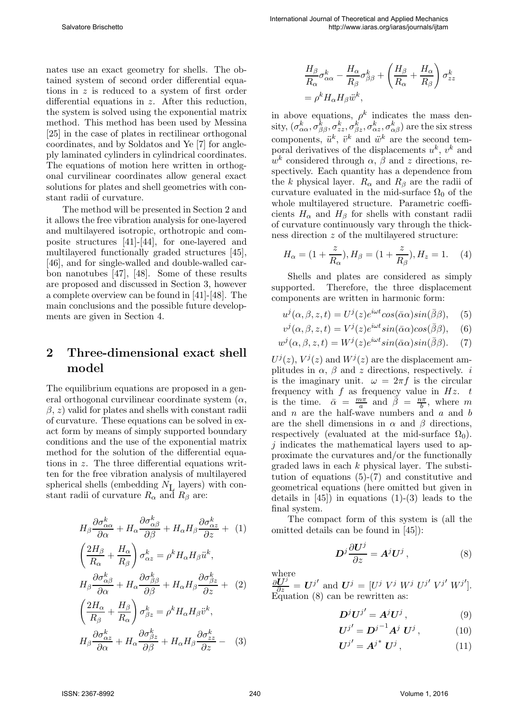nates use an exact geometry for shells. The obtained system of second order differential equations in z is reduced to a system of first order differential equations in z. After this reduction, the system is solved using the exponential matrix method. This method has been used by Messina [25] in the case of plates in rectilinear orthogonal coordinates, and by Soldatos and Ye [7] for angleply laminated cylinders in cylindrical coordinates. The equations of motion here written in orthogonal curvilinear coordinates allow general exact solutions for plates and shell geometries with constant radii of curvature.

The method will be presented in Section 2 and it allows the free vibration analysis for one-layered and multilayered isotropic, orthotropic and composite structures [41]-[44], for one-layered and multilayered functionally graded structures [45], [46], and for single-walled and double-walled carbon nanotubes [47], [48]. Some of these results are proposed and discussed in Section 3, however a complete overview can be found in [41]-[48]. The main conclusions and the possible future developments are given in Section 4.

## 2 Three-dimensional exact shell model

The equilibrium equations are proposed in a general orthogonal curvilinear coordinate system  $(\alpha, \alpha)$  $\beta$ , z) valid for plates and shells with constant radii of curvature. These equations can be solved in exact form by means of simply supported boundary conditions and the use of the exponential matrix method for the solution of the differential equations in z. The three differential equations written for the free vibration analysis of multilayered spherical shells (embedding  $N_{\text{L}}$  layers) with constant radii of curvature  $R_{\alpha}$  and  $R_{\beta}$  are:

$$
H_{\beta} \frac{\partial \sigma_{\alpha\alpha}^{k}}{\partial \alpha} + H_{\alpha} \frac{\partial \sigma_{\alpha\beta}^{k}}{\partial \beta} + H_{\alpha} H_{\beta} \frac{\partial \sigma_{\alpha z}^{k}}{\partial z} + (1)
$$
  

$$
\left(\frac{2H_{\beta}}{R_{\alpha}} + \frac{H_{\alpha}}{R_{\beta}}\right) \sigma_{\alpha z}^{k} = \rho^{k} H_{\alpha} H_{\beta} \ddot{u}^{k},
$$

$$
H_{\beta} \frac{\partial \sigma_{\alpha\beta}^{k}}{\partial \alpha} + H_{\alpha} \frac{\partial \sigma_{\beta\beta}^{k}}{\partial \beta} + H_{\alpha} H_{\beta} \frac{\partial \sigma_{\beta z}^{k}}{\partial z} + (2)
$$

$$
\left(\frac{2H_{\alpha}}{R_{\beta}} + \frac{H_{\beta}}{R_{\alpha}}\right) \sigma_{\beta z}^{k} = \rho^{k} H_{\alpha} H_{\beta} \ddot{v}^{k},
$$

$$
H_{\beta} \frac{\partial \sigma_{\alpha z}^{k}}{\partial \alpha} + H_{\alpha} \frac{\partial \sigma_{\beta z}^{k}}{\partial \beta} + H_{\alpha} H_{\beta} \frac{\partial \sigma_{zz}^{k}}{\partial z} - (3)
$$

$$
\frac{H_{\beta}}{R_{\alpha}} \sigma_{\alpha\alpha}^{k} - \frac{H_{\alpha}}{R_{\beta}} \sigma_{\beta\beta}^{k} + \left(\frac{H_{\beta}}{R_{\alpha}} + \frac{H_{\alpha}}{R_{\beta}}\right) \sigma_{zz}^{k}
$$
\n
$$
= \rho^{k} H_{\alpha} H_{\beta} \ddot{w}^{k},
$$

in above equations,  $\rho^k$  indicates the mass den- $\mathrm{sity},(\sigma^k_{\alpha\alpha},\sigma^k_{\beta\beta},\sigma^k_{zz},\sigma^k_{\beta z},\sigma^k_{\alpha z},\sigma^k_{\alpha\beta})$  are the six stress components,  $\ddot{u}^k$ ,  $\ddot{v}^k$  and  $\ddot{w}^k$  are the second temporal derivatives of the displacements  $u^k$ ,  $v^k$  and  $w<sup>k</sup>$  considered through  $\alpha$ ,  $\beta$  and z directions, respectively. Each quantity has a dependence from the k physical layer.  $R_{\alpha}$  and  $R_{\beta}$  are the radii of curvature evaluated in the mid-surface  $\Omega_0$  of the whole multilayered structure. Parametric coefficients  $H_{\alpha}$  and  $H_{\beta}$  for shells with constant radii of curvature continuously vary through the thickness direction z of the multilayered structure:

$$
H_{\alpha} = (1 + \frac{z}{R_{\alpha}}), H_{\beta} = (1 + \frac{z}{R_{\beta}}), H_{z} = 1.
$$
 (4)

Shells and plates are considered as simply supported. Therefore, the three displacement components are written in harmonic form:

$$
u^{j}(\alpha, \beta, z, t) = U^{j}(z)e^{i\omega t}\cos(\bar{\alpha}\alpha)\sin(\bar{\beta}\beta), \quad (5)
$$

$$
v^{j}(\alpha, \beta, z, t) = V^{j}(z)e^{i\omega t} \sin(\bar{\alpha}\alpha)\cos(\bar{\beta}\beta), \quad (6)
$$

$$
w^{j}(\alpha, \beta, z, t) = W^{j}(z)e^{i\omega t}sin(\bar{\alpha}\alpha)sin(\bar{\beta}\beta).
$$
 (7)

 $U^{j}(z)$ ,  $V^{j}(z)$  and  $W^{j}(z)$  are the displacement amplitudes in  $\alpha$ ,  $\beta$  and z directions, respectively. *i* is the imaginary unit.  $\omega = 2\pi f$  is the circular frequency with f as frequency value in  $Hz$ . t is the time.  $\bar{\alpha} = \frac{m\pi}{a}$  $\frac{n\pi}{a}$  and  $\overline{\beta} = \frac{n\pi}{b}$  $\frac{a\pi}{b}$ , where m and  $n$  are the half-wave numbers and  $a$  and  $b$ are the shell dimensions in  $\alpha$  and  $\beta$  directions, respectively (evaluated at the mid-surface  $\Omega_0$ ). j indicates the mathematical layers used to approximate the curvatures and/or the functionally graded laws in each  $k$  physical layer. The substitution of equations (5)-(7) and constitutive and geometrical equations (here omitted but given in details in  $[45]$  in equations  $(1)-(3)$  leads to the final system.

The compact form of this system is (all the omitted details can be found in [45]):

$$
D^j \frac{\partial U^j}{\partial z} = A^j U^j , \qquad (8)
$$

where  $\frac{\partial \mathbf{U}^j}{\partial z} = \mathbf{U}^{j'}$  and  $\mathbf{U}^j = [U^j \ V^j \ W^j \ U^{j'} \ V^{j'} \ W^{j'}].$ Equation (8) can be rewritten as:

$$
\boldsymbol{D}^j \boldsymbol{U}^{j'} = \boldsymbol{A}^j \boldsymbol{U}^j , \qquad (9)
$$

$$
\boldsymbol{U}^{j'} = \boldsymbol{D}^{j-1} \boldsymbol{A}^j \ \boldsymbol{U}^j \,, \tag{10}
$$

$$
\boldsymbol{U}^{j'} = \boldsymbol{A}^{j^*} \,\boldsymbol{U}^j \,, \tag{11}
$$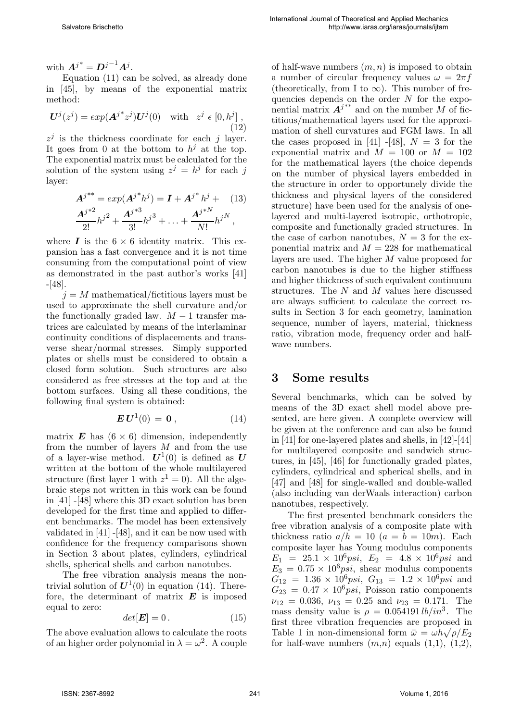with  $\boldsymbol{A}^{j*} = \boldsymbol{D}^{j-1} \boldsymbol{A}^j$ .

Equation (11) can be solved, as already done in [45], by means of the exponential matrix method:

$$
\mathbf{U}^{j}(z^{j}) = exp(\mathbf{A}^{j*}z^{j})\mathbf{U}^{j}(0) \quad \text{with} \quad z^{j} \in [0, h^{j}],
$$
\n(12)

 $z^j$  is the thickness coordinate for each j layer. It goes from 0 at the bottom to  $h^j$  at the top. The exponential matrix must be calculated for the solution of the system using  $z^j = h^j$  for each j layer:

$$
A^{j^{**}} = exp(A^{j^{*}}h^{j}) = I + A^{j^{*}}h^{j} + (13)
$$
  

$$
\frac{A^{j^{*2}}}{2!}h^{j^{2}} + \frac{A^{j^{*3}}}{3!}h^{j^{3}} + \dots + \frac{A^{j^{*N}}}{N!}h^{j^{N}},
$$

where  $\bm{I}$  is the  $6 \times 6$  identity matrix. This expansion has a fast convergence and it is not time consuming from the computational point of view as demonstrated in the past author's works [41] -[48].

 $j = M$  mathematical/fictitious layers must be used to approximate the shell curvature and/or the functionally graded law.  $M-1$  transfer matrices are calculated by means of the interlaminar continuity conditions of displacements and transverse shear/normal stresses. Simply supported plates or shells must be considered to obtain a closed form solution. Such structures are also considered as free stresses at the top and at the bottom surfaces. Using all these conditions, the following final system is obtained:

$$
\boldsymbol{E} \,\boldsymbol{U}^1(0) = \boldsymbol{0} \,, \tag{14}
$$

matrix **E** has  $(6 \times 6)$  dimension, independently from the number of layers M and from the use of a layer-wise method.  $\boldsymbol{U}^1(0)$  is defined as  $\boldsymbol{U}$ written at the bottom of the whole multilayered structure (first layer 1 with  $z^1 = 0$ ). All the algebraic steps not written in this work can be found in [41] -[48] where this 3D exact solution has been developed for the first time and applied to different benchmarks. The model has been extensively validated in [41] -[48], and it can be now used with confidence for the frequency comparisons shown in Section 3 about plates, cylinders, cylindrical shells, spherical shells and carbon nanotubes.

The free vibration analysis means the nontrivial solution of  $U^1(0)$  in equation (14). Therefore, the determinant of matrix  $\boldsymbol{E}$  is imposed equal to zero:

$$
det[\boldsymbol{E}] = 0.
$$
 (15)

The above evaluation allows to calculate the roots of an higher order polynomial in  $\lambda = \omega^2$ . A couple

of half-wave numbers  $(m, n)$  is imposed to obtain a number of circular frequency values  $\omega = 2\pi f$ (theoretically, from I to  $\infty$ ). This number of frequencies depends on the order  $N$  for the exponential matrix  $A^{j**}$  and on the number M of fictitious/mathematical layers used for the approximation of shell curvatures and FGM laws. In all the cases proposed in [41] -[48],  $N = 3$  for the exponential matrix and  $M = 100$  or  $M = 102$ for the mathematical layers (the choice depends on the number of physical layers embedded in the structure in order to opportunely divide the thickness and physical layers of the considered structure) have been used for the analysis of onelayered and multi-layered isotropic, orthotropic, composite and functionally graded structures. In the case of carbon nanotubes,  $N = 3$  for the exponential matrix and  $M = 228$  for mathematical layers are used. The higher M value proposed for carbon nanotubes is due to the higher stiffness and higher thickness of such equivalent continuum structures. The  $N$  and  $M$  values here discussed are always sufficient to calculate the correct results in Section 3 for each geometry, lamination sequence, number of layers, material, thickness ratio, vibration mode, frequency order and halfwave numbers.

#### 3 Some results

Several benchmarks, which can be solved by means of the 3D exact shell model above presented, are here given. A complete overview will be given at the conference and can also be found in [41] for one-layered plates and shells, in [42]-[44] for multilayered composite and sandwich structures, in [45], [46] for functionally graded plates, cylinders, cylindrical and spherical shells, and in [47] and [48] for single-walled and double-walled (also including van derWaals interaction) carbon nanotubes, respectively.

The first presented benchmark considers the free vibration analysis of a composite plate with thickness ratio  $a/h = 10$   $(a = b = 10m)$ . Each composite layer has Young modulus components  $E_1 = 25.1 \times 10^6 \text{psi}, E_2 = 4.8 \times 10^6 \text{psi}$  and  $E_3 = 0.75 \times 10^6 \text{psi}$ , shear modulus components  $G_{12} = 1.36 \times 10^6 \text{psi}, G_{13} = 1.2 \times 10^6 \text{psi}$  and  $G_{23} = 0.47 \times 10^6 \text{psi}$ , Poisson ratio components  $\nu_{12} = 0.036, \nu_{13} = 0.25 \text{ and } \nu_{23} = 0.171. \text{ The}$ mass density value is  $\rho = 0.054191 lb/in^3$ . The first three vibration frequencies are proposed in Table 1 in non-dimensional form  $\bar{\omega} = \omega h \sqrt{\rho/E_2}$ for half-wave numbers  $(m,n)$  equals  $(1,1)$ ,  $(1,2)$ ,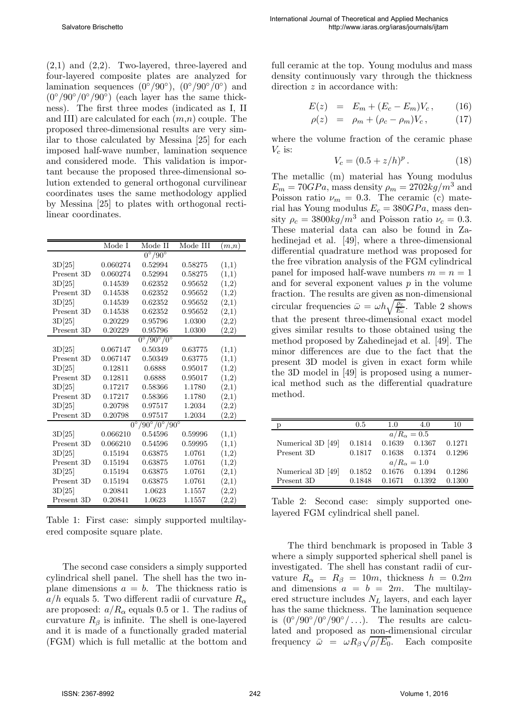(2,1) and (2,2). Two-layered, three-layered and four-layered composite plates are analyzed for lamination sequences  $(0^{\circ}/90^{\circ}), (0^{\circ}/90^{\circ}/0^{\circ})$  and  $(0^{\circ}/90^{\circ}/0^{\circ}/90^{\circ})$  (each layer has the same thickness). The first three modes (indicated as I, II and III) are calculated for each  $(m,n)$  couple. The proposed three-dimensional results are very similar to those calculated by Messina [25] for each imposed half-wave number, lamination sequence and considered mode. This validation is important because the proposed three-dimensional solution extended to general orthogonal curvilinear coordinates uses the same methodology applied by Messina [25] to plates with orthogonal rectilinear coordinates.

|            | Mode I                           | Mode II                                     | Mode III | (m,n)      |  |  |
|------------|----------------------------------|---------------------------------------------|----------|------------|--|--|
|            |                                  | $0^{\circ}/90^{\circ}$                      |          |            |  |  |
| 3D[25]     | 0.060274                         | 0.52994                                     | 0.58275  | (1,1)      |  |  |
| Present 3D | 0.060274                         | 0.52994                                     | 0.58275  | (1,1)      |  |  |
| 3D[25]     | 0.14539                          | 0.62352                                     | 0.95652  | (1,2)      |  |  |
| Present 3D | 0.14538                          | 0.62352                                     | 0.95652  | (1,2)      |  |  |
| 3D[25]     | 0.14539                          | 0.62352                                     | 0.95652  | (2,1)      |  |  |
| Present 3D | 0.14538                          | 0.62352                                     | 0.95652  | (2,1)      |  |  |
| 3D[25]     | 0.20229                          | 0.95796                                     | 1.0300   | (2,2)      |  |  |
| Present 3D | 0.20229                          | 0.95796                                     | 1.0300   | (2,2)      |  |  |
|            | $0^{\circ}/90^{\circ}/0^{\circ}$ |                                             |          |            |  |  |
| 3D[25]     | 0.067147                         | 0.50349                                     | 0.63775  | (1,1)      |  |  |
| Present 3D | 0.067147                         | 0.50349                                     | 0.63775  | (1,1)      |  |  |
| 3D[25]     | 0.12811                          | 0.6888                                      | 0.95017  | (1,2)      |  |  |
| Present 3D | 0.12811                          | 0.6888                                      | 0.95017  | (1,2)      |  |  |
| 3D[25]     | 0.17217                          | 0.58366                                     | 1.1780   | (2,1)      |  |  |
| Present 3D | 0.17217                          | 0.58366                                     | 1.1780   | (2,1)      |  |  |
| 3D[25]     | 0.20798                          | 0.97517                                     | 1.2034   | (2,2)      |  |  |
| Present 3D | 0.20798                          | 0.97517                                     | 1.2034   | (2,2)      |  |  |
|            |                                  | $0^{\circ}/90^{\circ}/0^{\circ}/90^{\circ}$ |          |            |  |  |
| 3D[25]     | 0.066210                         | 0.54596                                     | 0.59996  | (1,1)      |  |  |
| Present 3D | 0.066210                         | 0.54596                                     | 0.59995  | (1,1)      |  |  |
| 3D[25]     | 0.15194                          | 0.63875                                     | 1.0761   | (1,2)      |  |  |
| Present 3D | 0.15194                          | 0.63875                                     | 1.0761   | (1,2)      |  |  |
| 3D[25]     | 0.15194                          | 0.63875                                     | 1.0761   | (2,1)      |  |  |
| Present 3D | 0.15194                          | 0.63875                                     | 1.0761   | (2,1)      |  |  |
| 3D[25]     | 0.20841                          | 1.0623                                      | 1.1557   | (2,2)      |  |  |
| Present 3D | 0.20841                          | 1.0623                                      | 1.1557   | $_{(2,2)}$ |  |  |

Table 1: First case: simply supported multilayered composite square plate.

The second case considers a simply supported cylindrical shell panel. The shell has the two inplane dimensions  $a = b$ . The thickness ratio is a/h equals 5. Two different radii of curvature  $R_{\alpha}$ are proposed:  $a/R_{\alpha}$  equals 0.5 or 1. The radius of curvature  $R_\beta$  is infinite. The shell is one-layered and it is made of a functionally graded material (FGM) which is full metallic at the bottom and

full ceramic at the top. Young modulus and mass density continuously vary through the thickness direction z in accordance with:

$$
E(z) = E_m + (E_c - E_m)V_c, \qquad (16)
$$

$$
\rho(z) = \rho_m + (\rho_c - \rho_m)V_c, \qquad (17)
$$

where the volume fraction of the ceramic phase  $V_c$  is:

$$
V_c = (0.5 + z/h)^p. \t\t(18)
$$

The metallic (m) material has Young modulus  $E_m = 70GPa$ , mass density  $\rho_m = 2702kg/m^3$  and Poisson ratio  $\nu_m = 0.3$ . The ceramic (c) material has Young modulus  $E_c = 380GPa$ , mass density  $\rho_c = 3800 kg/m^3$  and Poisson ratio  $\nu_c = 0.3$ . These material data can also be found in Zahedinejad et al. [49], where a three-dimensional differential quadrature method was proposed for the free vibration analysis of the FGM cylindrical panel for imposed half-wave numbers  $m = n = 1$ and for several exponent values  $p$  in the volume fraction. The results are given as non-dimensional circular frequencies  $\bar{\omega} = \omega h \sqrt{\frac{\rho_c}{E_c}}$ . Table 2 shows that the present three-dimensional exact model gives similar results to those obtained using the method proposed by Zahedinejad et al. [49]. The minor differences are due to the fact that the present 3D model is given in exact form while the 3D model in [49] is proposed using a numerical method such as the differential quadrature method.

|                   | 0.5    | 1.0                | 4.0                |        |
|-------------------|--------|--------------------|--------------------|--------|
|                   |        |                    | $a/R_{\alpha}=0.5$ |        |
| Numerical 3D [49] | 0.1814 | 0.1639             | 0.1367             | 0.1271 |
| Present 3D        | 0.1817 | 0.1638             | 0.1374             | 0.1296 |
|                   |        | $a/R_{\alpha}=1.0$ |                    |        |
| Numerical 3D [49] | 0.1852 | 0.1676             | 0.1394             | 0.1286 |
| Present 3D        | 0.1848 | 0.1671             | 0.1392             | 0.1300 |

Table 2: Second case: simply supported onelayered FGM cylindrical shell panel.

The third benchmark is proposed in Table 3 where a simply supported spherical shell panel is investigated. The shell has constant radii of curvature  $R_{\alpha} = R_{\beta} = 10m$ , thickness  $h = 0.2m$ and dimensions  $a = b = 2m$ . The multilayered structure includes  $N_L$  layers, and each layer has the same thickness. The lamination sequence is  $(0^{\circ}/90^{\circ}/0^{\circ}/90^{\circ}/...)$ . The results are calculated and proposed as non-dimensional circular frequency  $\bar{\omega} = \omega R_{\beta} \sqrt{\rho/E_0}$ . Each composite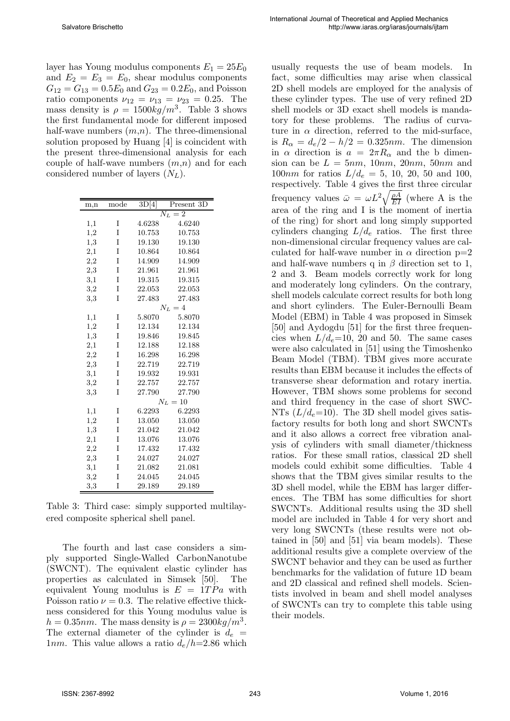layer has Young modulus components  $E_1 = 25E_0$ and  $E_2 = E_3 = E_0$ , shear modulus components  $G_{12} = G_{13} = 0.5E_0$  and  $G_{23} = 0.2E_0$ , and Poisson ratio components  $\nu_{12} = \nu_{13} = \nu_{23} = 0.25$ . The mass density is  $\rho = 1500 \kappa g/m^3$ . Table 3 shows the first fundamental mode for different imposed half-wave numbers  $(m,n)$ . The three-dimensional solution proposed by Huang [4] is coincident with the present three-dimensional analysis for each couple of half-wave numbers  $(m,n)$  and for each considered number of layers  $(N_L)$ .

| m,n      | mode | 3D[4]                    | Present 3D |  |
|----------|------|--------------------------|------------|--|
|          |      | $\overline{N}_L$<br>$=2$ |            |  |
| 1,1      | I    | 4.6238                   | 4.6240     |  |
| 1,2      | I    | 10.753                   | 10.753     |  |
| 1,3      | I    | 19.130                   | 19.130     |  |
| 2,1      | I    | 10.864                   | 10.864     |  |
| $^{2,2}$ | I    | 14.909                   | 14.909     |  |
| $_{2,3}$ | I    | 21.961                   | 21.961     |  |
| $^{3,1}$ | I    | 19.315                   | 19.315     |  |
| 3,2      | I    | 22.053                   | 22.053     |  |
| 3,3      | I    | 27.483                   | 27.483     |  |
|          |      | $N_L=4$                  |            |  |
| 1,1      | I    | 5.8070                   | 5.8070     |  |
| 1,2      | I    | 12.134                   | 12.134     |  |
| 1,3      | I    | 19.846                   | 19.845     |  |
| $^{2,1}$ | I    | 12.188                   | 12.188     |  |
| 2,2      | I    | 16.298                   | 16.298     |  |
| 2,3      | I    | 22.719                   | 22.719     |  |
| 3,1      | I    | 19.932                   | 19.931     |  |
| $^{3,2}$ | I    | 22.757                   | 22.757     |  |
| 3,3      | Ī    | 27.790                   | 27.790     |  |
|          |      | $N_L=10$                 |            |  |
| 1,1      | I    | 6.2293                   | 6.2293     |  |
| 1,2      | I    | 13.050                   | 13.050     |  |
| 1,3      | I    | 21.042                   | 21.042     |  |
| $^{2,1}$ | I    | 13.076                   | 13.076     |  |
| $^{2,2}$ | I    | 17.432                   | 17.432     |  |
| $^{2,3}$ | I    | 24.027                   | 24.027     |  |
| 3,1      | I    | 21.082                   | 21.081     |  |
| $^{3,2}$ | I    | 24.045                   | 24.045     |  |
| 3,3      | I    | 29.189                   | 29.189     |  |

Table 3: Third case: simply supported multilayered composite spherical shell panel.

The fourth and last case considers a simply supported Single-Walled CarbonNanotube (SWCNT). The equivalent elastic cylinder has properties as calculated in Simsek [50]. The equivalent Young modulus is  $E = 1TPa$  with Poisson ratio  $\nu = 0.3$ . The relative effective thickness considered for this Young modulus value is  $h = 0.35nm$ . The mass density is  $\rho = 2300kg/m^3$ . The external diameter of the cylinder is  $d_e$  = 1nm. This value allows a ratio  $d_e/h=2.86$  which

usually requests the use of beam models. In fact, some difficulties may arise when classical 2D shell models are employed for the analysis of these cylinder types. The use of very refined 2D shell models or 3D exact shell models is mandatory for these problems. The radius of curvature in  $\alpha$  direction, referred to the mid-surface, is  $R_{\alpha} = d_e/2 - h/2 = 0.325nm$ . The dimension in  $\alpha$  direction is  $a = 2\pi R_{\alpha}$  and the b dimension can be  $L = 5nm$ , 10nm, 20nm, 50nm and 100*nm* for ratios  $L/d_e = 5$ , 10, 20, 50 and 100, respectively. Table 4 gives the first three circular frequency values  $\bar{\omega} = \omega L^2 \sqrt{\frac{\rho A}{EI}}$  (where A is the area of the ring and I is the moment of inertia of the ring) for short and long simply supported cylinders changing  $L/d_e$  ratios. The first three non-dimensional circular frequency values are calculated for half-wave number in  $\alpha$  direction  $p=2$ and half-wave numbers q in  $\beta$  direction set to 1, 2 and 3. Beam models correctly work for long and moderately long cylinders. On the contrary, shell models calculate correct results for both long and short cylinders. The Euler-Bernoulli Beam Model (EBM) in Table 4 was proposed in Simsek [50] and Aydogdu [51] for the first three frequencies when  $L/d_e=10$ , 20 and 50. The same cases were also calculated in [51] using the Timoshenko Beam Model (TBM). TBM gives more accurate results than EBM because it includes the effects of transverse shear deformation and rotary inertia. However, TBM shows some problems for second and third frequency in the case of short SWC-NTs  $(L/d_e=10)$ . The 3D shell model gives satisfactory results for both long and short SWCNTs and it also allows a correct free vibration analysis of cylinders with small diameter/thickness ratios. For these small ratios, classical 2D shell models could exhibit some difficulties. Table 4 shows that the TBM gives similar results to the 3D shell model, while the EBM has larger differences. The TBM has some difficulties for short SWCNTs. Additional results using the 3D shell model are included in Table 4 for very short and very long SWCNTs (these results were not obtained in [50] and [51] via beam models). These additional results give a complete overview of the SWCNT behavior and they can be used as further benchmarks for the validation of future 1D beam and 2D classical and refined shell models. Scientists involved in beam and shell model analyses of SWCNTs can try to complete this table using their models.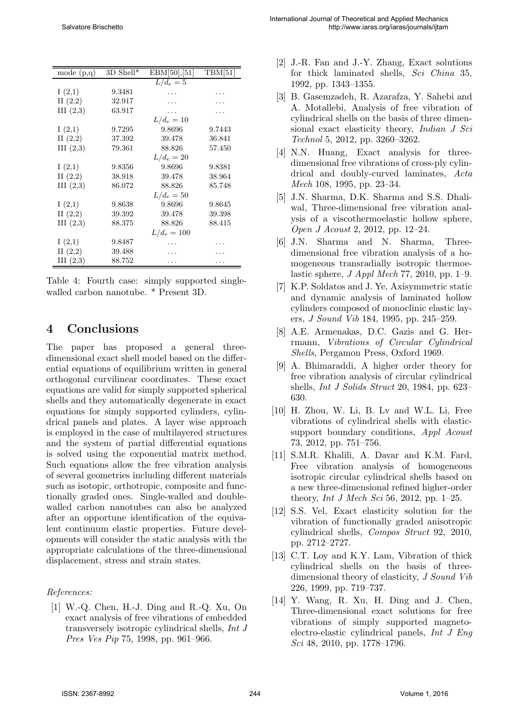| mode $(p,q)$ | $3D Shell*$ | EBM[50], [51] | TBM[51] |
|--------------|-------------|---------------|---------|
|              |             | $L/d_e=5$     |         |
| I(2,1)       | 9.3481      |               |         |
| II $(2,2)$   | 32.917      |               |         |
| III(2,3)     | 63.917      |               |         |
|              |             | $L/d_e=10$    |         |
| I(2,1)       | 9.7295      | 9.8696        | 9.7443  |
| II(2,2)      | 37.392      | 39.478        | 36.841  |
| III(2,3)     | 79.361      | 88.826        | 57.450  |
|              |             | $L/d_e = 20$  |         |
| I(2,1)       | 9.8356      | 9.8696        | 9.8381  |
| II(2,2)      | 38.918      | 39.478        | 38.964  |
| III (2,3)    | 86.072      | 88.826        | 85.748  |
|              |             | $L/d_e = 50$  |         |
| I(2,1)       | 9.8638      | 9.8696        | 9.8645  |
| II(2,2)      | 39.392      | 39.478        | 39.398  |
| III (2,3)    | 88.375      | 88.826        | 88.415  |
|              |             | $L/d_e = 100$ |         |
| I(2,1)       | 9.8487      |               |         |
| II(2,2)      | 39.488      |               |         |
| III (2,3)    | 88.752      |               |         |

Table 4: Fourth case: simply supported singlewalled carbon nanotube. \* Present 3D.

#### 4 Conclusions

The paper has proposed a general threedimensional exact shell model based on the differential equations of equilibrium written in general orthogonal curvilinear coordinates. These exact equations are valid for simply supported spherical shells and they automatically degenerate in exact equations for simply supported cylinders, cylindrical panels and plates. A layer wise approach is employed in the case of multilayered structures and the system of partial differential equations is solved using the exponential matrix method. Such equations allow the free vibration analysis of several geometries including different materials such as isotopic, orthotropic, composite and functionally graded ones. Single-walled and doublewalled carbon nanotubes can also be analyzed after an opportune identification of the equivalent continuum elastic properties. Future developments will consider the static analysis with the appropriate calculations of the three-dimensional displacement, stress and strain states.

#### References:

[1] W.-Q. Chen, H.-J. Ding and R.-Q. Xu, On exact analysis of free vibrations of embedded transversely isotropic cylindrical shells, Int J Pres Ves Pip 75, 1998, pp. 961–966.

- [2] J.-R. Fan and J.-Y. Zhang, Exact solutions for thick laminated shells, Sci China 35, 1992, pp. 1343–1355.
- [3] B. Gasemzadeh, R. Azarafza, Y. Sahebi and A. Motallebi, Analysis of free vibration of cylindrical shells on the basis of three dimensional exact elasticity theory, Indian J Sci Technol 5, 2012, pp. 3260–3262.
- [4] N.N. Huang, Exact analysis for threedimensional free vibrations of cross-ply cylindrical and doubly-curved laminates, Acta Mech 108, 1995, pp. 23–34.
- [5] J.N. Sharma, D.K. Sharma and S.S. Dhaliwal, Three-dimensional free vibration analysis of a viscothermoelastic hollow sphere, Open J Acoust 2, 2012, pp. 12–24.
- [6] J.N. Sharma and N. Sharma, Threedimensional free vibration analysis of a homogeneous transradially isotropic thermoelastic sphere,  $J$  Appl Mech 77, 2010, pp. 1–9.
- [7] K.P. Soldatos and J. Ye, Axisymmetric static and dynamic analysis of laminated hollow cylinders composed of monoclinic elastic layers, J Sound Vib 184, 1995, pp. 245–259.
- [8] A.E. Armenakas, D.C. Gazis and G. Herrmann, Vibrations of Circular Cylindrical Shells, Pergamon Press, Oxford 1969.
- [9] A. Bhimaraddi, A higher order theory for free vibration analysis of circular cylindrical shells, Int J Solids Struct 20, 1984, pp. 623– 630.
- [10] H. Zhou, W. Li, B. Lv and W.L. Li, Free vibrations of cylindrical shells with elasticsupport boundary conditions, *Appl Acoust* 73, 2012, pp. 751–756.
- [11] S.M.R. Khalili, A. Davar and K.M. Fard, Free vibration analysis of homogeneous isotropic circular cylindrical shells based on a new three-dimensional refined higher-order theory, *Int J Mech Sci* 56, 2012, pp. 1–25.
- [12] S.S. Vel, Exact elasticity solution for the vibration of functionally graded anisotropic cylindrical shells, Compos Struct 92, 2010, pp. 2712–2727.
- [13] C.T. Loy and K.Y. Lam, Vibration of thick cylindrical shells on the basis of threedimensional theory of elasticity, J Sound Vib 226, 1999, pp. 719–737.
- [14] Y. Wang, R. Xu, H. Ding and J. Chen, Three-dimensional exact solutions for free vibrations of simply supported magnetoelectro-elastic cylindrical panels, Int J Eng Sci 48, 2010, pp. 1778–1796.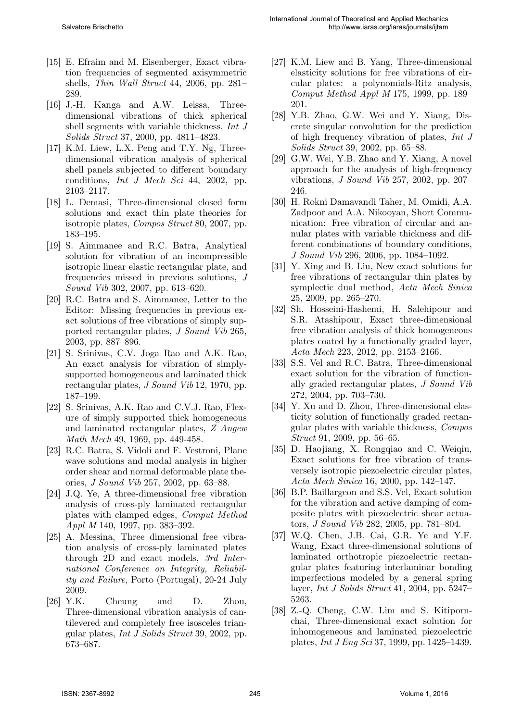- [15] E. Efraim and M. Eisenberger, Exact vibration frequencies of segmented axisymmetric shells, Thin Wall Struct 44, 2006, pp. 281– 289.
- [16] J.-H. Kanga and A.W. Leissa, Threedimensional vibrations of thick spherical shell segments with variable thickness, Int J Solids Struct 37, 2000, pp. 4811–4823.
- [17] K.M. Liew, L.X. Peng and T.Y. Ng, Threedimensional vibration analysis of spherical shell panels subjected to different boundary conditions, Int J Mech Sci 44, 2002, pp. 2103–2117.
- [18] L. Demasi, Three-dimensional closed form solutions and exact thin plate theories for isotropic plates, Compos Struct 80, 2007, pp. 183–195.
- [19] S. Aimmanee and R.C. Batra, Analytical solution for vibration of an incompressible isotropic linear elastic rectangular plate, and frequencies missed in previous solutions, J Sound Vib 302, 2007, pp. 613–620.
- [20] R.C. Batra and S. Aimmanee, Letter to the Editor: Missing frequencies in previous exact solutions of free vibrations of simply supported rectangular plates, J Sound Vib 265, 2003, pp. 887–896.
- [21] S. Srinivas, C.V. Joga Rao and A.K. Rao, An exact analysis for vibration of simplysupported homogeneous and laminated thick rectangular plates, J Sound Vib 12, 1970, pp. 187–199.
- [22] S. Srinivas, A.K. Rao and C.V.J. Rao, Flexure of simply supported thick homogeneous and laminated rectangular plates, Z Angew Math Mech 49, 1969, pp. 449-458.
- [23] R.C. Batra, S. Vidoli and F. Vestroni, Plane wave solutions and modal analysis in higher order shear and normal deformable plate theories, J Sound Vib 257, 2002, pp. 63–88.
- [24] J.Q. Ye, A three-dimensional free vibration analysis of cross-ply laminated rectangular plates with clamped edges, Comput Method Appl M 140, 1997, pp. 383–392.
- [25] A. Messina, Three dimensional free vibration analysis of cross-ply laminated plates through 2D and exact models, 3rd International Conference on Integrity, Reliability and Failure, Porto (Portugal), 20-24 July 2009.
- [26] Y.K. Cheung and D. Zhou, Three-dimensional vibration analysis of cantilevered and completely free isosceles triangular plates, Int J Solids Struct 39, 2002, pp. 673–687.
- [27] K.M. Liew and B. Yang, Three-dimensional elasticity solutions for free vibrations of circular plates: a polynomials-Ritz analysis, Comput Method Appl M 175, 1999, pp. 189– 201.
- [28] Y.B. Zhao, G.W. Wei and Y. Xiang, Discrete singular convolution for the prediction of high frequency vibration of plates, Int J Solids Struct 39, 2002, pp. 65–88.
- [29] G.W. Wei, Y.B. Zhao and Y. Xiang, A novel approach for the analysis of high-frequency vibrations, J Sound Vib 257, 2002, pp. 207– 246.
- [30] H. Rokni Damavandi Taher, M. Omidi, A.A. Zadpoor and A.A. Nikooyan, Short Communication: Free vibration of circular and annular plates with variable thickness and different combinations of boundary conditions, J Sound Vib 296, 2006, pp. 1084–1092.
- [31] Y. Xing and B. Liu, New exact solutions for free vibrations of rectangular thin plates by symplectic dual method, Acta Mech Sinica 25, 2009, pp. 265–270.
- [32] Sh. Hosseini-Hashemi, H. Salehipour and S.R. Atashipour, Exact three-dimensional free vibration analysis of thick homogeneous plates coated by a functionally graded layer, Acta Mech 223, 2012, pp. 2153–2166.
- [33] S.S. Vel and R.C. Batra, Three-dimensional exact solution for the vibration of functionally graded rectangular plates, J Sound Vib 272, 2004, pp. 703–730.
- [34] Y. Xu and D. Zhou, Three-dimensional elasticity solution of functionally graded rectangular plates with variable thickness, Compos Struct 91, 2009, pp. 56–65.
- [35] D. Haojiang, X. Rongqiao and C. Weiqiu, Exact solutions for free vibration of transversely isotropic piezoelectric circular plates, Acta Mech Sinica 16, 2000, pp. 142–147.
- [36] B.P. Baillargeon and S.S. Vel, Exact solution for the vibration and active damping of composite plates with piezoelectric shear actuators, J Sound Vib 282, 2005, pp. 781–804.
- [37] W.Q. Chen, J.B. Cai, G.R. Ye and Y.F. Wang, Exact three-dimensional solutions of laminated orthotropic piezoelectric rectangular plates featuring interlaminar bonding imperfections modeled by a general spring layer, Int J Solids Struct 41, 2004, pp. 5247– 5263.
- [38] Z.-Q. Cheng, C.W. Lim and S. Kitipornchai, Three-dimensional exact solution for inhomogeneous and laminated piezoelectric plates, Int J Eng Sci 37, 1999, pp. 1425–1439.